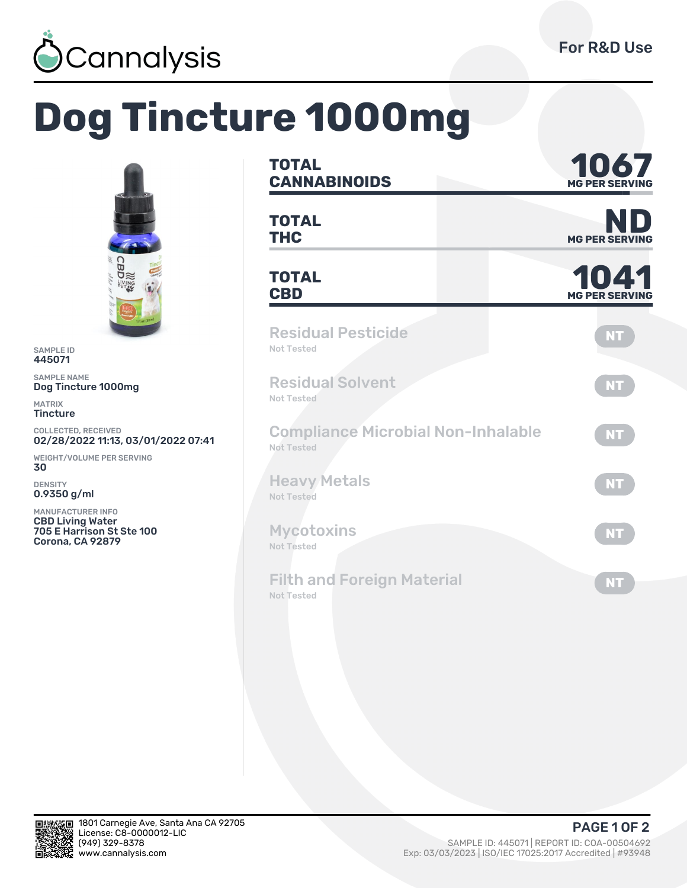

## **Dog Tincture 1000mg**



SAMPLE ID 445071

SAMPLE NAME Dog Tincture 1000mg

MATRIX **Tincture** 

COLLECTED, RECEIVED 02/28/2022 11:13, 03/01/2022 07:41

WEIGHT/VOLUME PER SERVING 30

DENSITY 0.9350 g/ml

MANUFACTURER INFO CBD Living Water 705 E Harrison St Ste 100 Corona, CA 92879

| <b>TOTAL</b><br><b>CANNABINOIDS</b>                            | 1067<br><b>MG PER SERVII</b> |
|----------------------------------------------------------------|------------------------------|
| <b>TOTAL</b><br><b>THC</b>                                     | <b>MG PER SERVING</b>        |
| <b>TOTAL</b><br><b>CBD</b>                                     | 1041<br><b>MG PER SERVIN</b> |
| <b>Residual Pesticide</b><br>Not Tested                        | <b>NT</b>                    |
| <b>Residual Solvent</b><br>Not Tested                          | <b>NT</b>                    |
| <b>Compliance Microbial Non-Inhalable</b><br><b>Not Tested</b> | <b>NT</b>                    |
| <b>Heavy Metals</b><br><b>Not Tested</b>                       | <b>NT</b>                    |
| <b>Mycotoxins</b><br><b>Not Tested</b>                         | <b>NT</b>                    |
| <b>Filth and Foreign Material</b><br><b>Not Tested</b>         | <b>NT</b>                    |